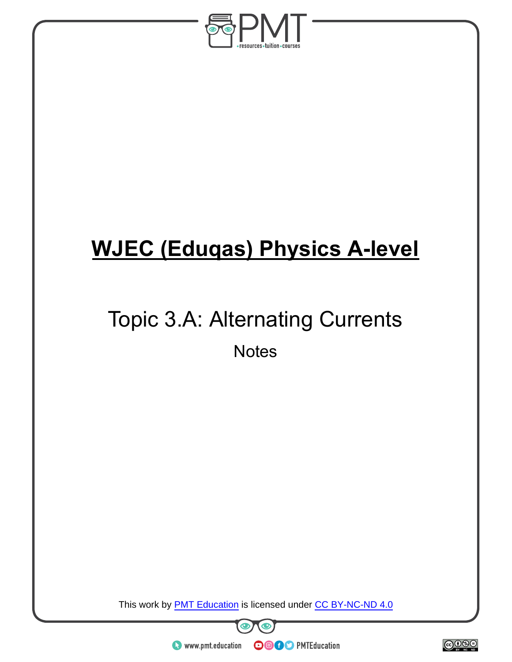

# **WJEC (Eduqas) Physics A-level**

## Topic 3.A: Alternating Currents **Notes**

This work by **PMT Education** is licensed under CC BY-NC-ND 4.0



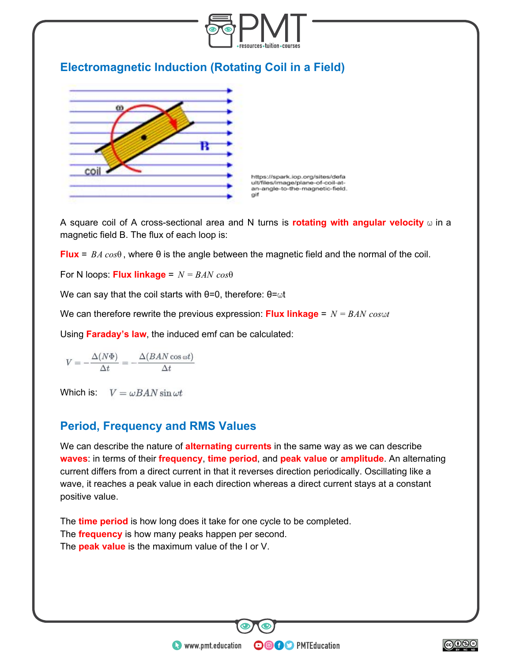

A square coil of A cross-sectional area and N turns is **rotating with angular velocity**  $\omega$  in a magnetic field B. The flux of each loop is:

**Flux** =  $BA \cos\theta$ , where  $\theta$  is the angle between the magnetic field and the normal of the coil.

For N loops: **Flux linkage** = *N* = *BAN cos*θ

We can say that the coil starts with  $θ=0$ , therefore:  $θ=ωt$ 

We can therefore rewrite the previous expression: **Flux linkage** =  $N = BAN \cos\omega t$ 

Using **Faraday's law**, the induced emf can be calculated:

$$
V = -\frac{\Delta(N\Phi)}{\Delta t} = -\frac{\Delta(BAN\cos\omega t)}{\Delta t}
$$

Which is:  $V = \omega BAN \sin \omega t$ 

#### **Period, Frequency and RMS Values**

We can describe the nature of **alternating currents** in the same way as we can describe **waves**: in terms of their **frequency**, **time period**, and **peak value** or **amplitude**. An alternating current differs from a direct current in that it reverses direction periodically. Oscillating like a wave, it reaches a peak value in each direction whereas a direct current stays at a constant positive value.

**OOOO** PMTEducation

The **time period** is how long does it take for one cycle to be completed. The **frequency** is how many peaks happen per second. The **peak value** is the maximum value of the I or V.

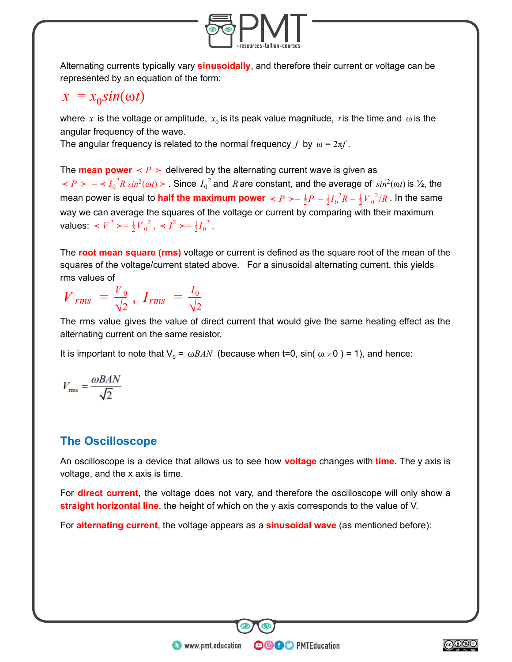

Alternating currents typically vary **sinusoidally** , and therefore their current or voltage can be represented by an equation of the form:

## $x = x_0 \sin(\omega t)$

where  $x$  is the voltage or amplitude,  $x_0$  is its peak value magnitude,  $\it t$  is the time and  $\,\omega$  is the angular frequency of the wave.

The angular frequency is related to the normal frequency f by  $\omega = 2\pi f$ .

The **mean power**  $\leq P$  > delivered by the alternating current wave is given as  $P > \frac{1}{2}R \sin^2(\omega t)$ . Since  $I_0^2$  and R are constant, and the average of  $\sin^2(\omega t)$  is  $\frac{1}{2}$ , the mean power is equal to <mark>half the maximum power</mark>  $\prec P \succ = \frac{1}{2}P = \frac{1}{2}{I_0}^2R = \frac{1}{2}{V_0}^2/R$  . In the same  $^{2}/$ way we can average the squares of the voltage or current by comparing with their maximum values:  $\langle V^2 \rangle = \frac{1}{2} V_0^2$ ,  $\langle I^2 \rangle = \frac{1}{2} I_0^2$ . 2

The **root mean square (rms)** voltage or current is defined as the square root of the mean of the squares of the voltage/current stated above. For a sinusoidal alternating current, this yields rms values of

 $V_{rms} = \frac{V_0}{\sqrt{2}}$ ,  $\sqrt{2}$  $I_{rms} = \frac{I_0}{\sqrt{2}}$  $\sqrt{2}$ 

The rms value gives the value of direct current that would give the same heating effect as the alternating current on the same resistor.

It is important to note that  $V_0 = \omega BAN$  (because when t=0, sin(  $\omega \times 0$  ) = 1), and hence:

$$
V_{\rm rms} = \frac{\omega BAN}{\sqrt{2}}
$$

### **The Oscilloscope**

An oscilloscope is a device that allows us to see how **voltage** changes with **time** . The y axis is voltage, and the x axis is time.

For **direct current**, the voltage does not vary, and therefore the oscilloscope will only show a **straight horizontal line**, the height of which on the y axis corresponds to the value of V.

**OOOO** PMTEducation

For **alternating current**, the voltage appears as a **sinusoidal wave** (as mentioned before):

 $\bullet$  www.pmt.education

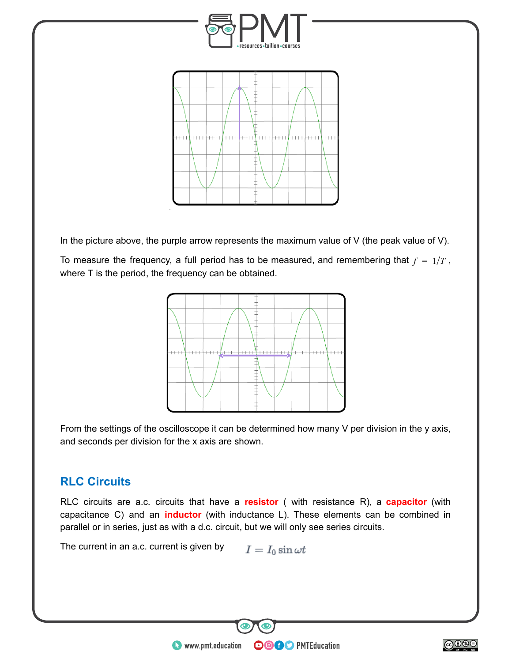

In the picture above, the purple arrow represents the maximum value of  $V$  (the peak value of  $V$ ).

To measure the frequency, a full period has to be measured, and remembering that  $f = 1/T$ , where T is the period, the frequency can be obtained.



From the settings of the oscilloscope it can be determined how many V per division in the y axis, and seconds per division for the x axis are shown.

## **RLC Circuits**

RLC circuits are a.c. circuits that have a **resistor** ( with resistance R), a **capacitor** (with capacitance C) and an **inductor** (with inductance L). These elements can be combined in parallel or in series, just as with a d.c. circuit, but we will only see series circuits.

**OOOO** PMTEducation

The current in an a.c. current is given by  $I = I_0 \sin \omega t$ 

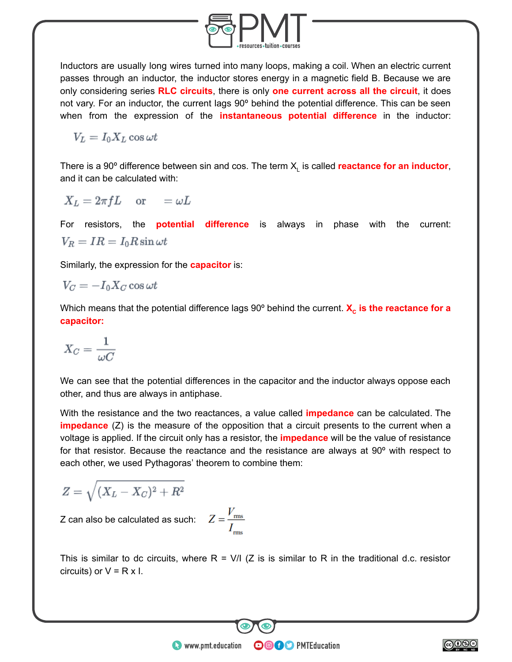

Inductors are usually long wires turned into many loops, making a coil. When an electric current passes through an inductor, the inductor stores energy in a magnetic field B. Because we are only considering series **RLC circuits** , there is only **one current across all the circuit** , it does not vary. For an inductor, the current lags 90º behind the potential difference. This can be seen when from the expression of the **instantaneous potential difference** in the inductor:

 $V_L = I_0 X_L \cos \omega t$ 

There is a 90 $^{\circ}$  difference between sin and cos. The term  $X_L$  is called **reactance for an inductor**, and it can be calculated with:

$$
X_L = 2\pi fL \quad \text{or} \quad = \omega L
$$

For resistors, the **potential difference** is always in phase with the current:  $V_R = IR = I_0 R \sin \omega t$ 

Similarly, the expression for the **capacitor** is:

$$
V_C = -I_0 X_C \cos \omega t
$$

Which means that the potential difference lags 90° behind the current. **X<sub>c</sub>** is the reactance for a **capacitor:** 

$$
X_C = \frac{1}{\omega C}
$$

We can see that the potential differences in the capacitor and the inductor always oppose each other, and thus are always in antiphase.

With the resistance and the two reactances, a value called **impedance** can be calculated. The **impedance** (Z) is the measure of the opposition that a circuit presents to the current when a voltage is applied. If the circuit only has a resistor, the **impedance** will be the value of resistance for that resistor. Because the reactance and the resistance are always at 90º with respect to each other, we used Pythagoras' theorem to combine them:

$$
Z=\sqrt{(X_L-X_C)^2+R^2}
$$

Z can also be calculated as such:  $\tilde{\mathbf{Z}}$ 

$$
Z = \frac{V_{\text{rms}}}{I_{\text{rms}}}
$$

This is similar to dc circuits, where  $R = V/I$  (Z is is similar to R in the traditional d.c. resistor circuits) or  $V = R \times I$ .

**OOOO** PMTEducation

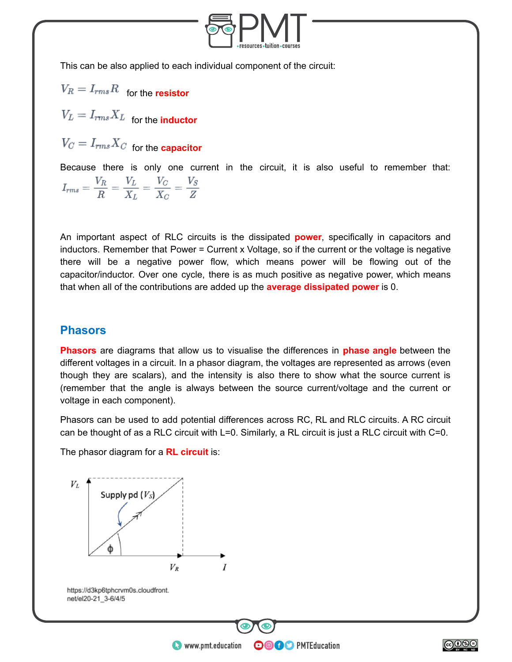

This can be also applied to each individual component of the circuit:

 $V_R = I_{rms}R$  for the **resistor** 

 $V_L = I_{rms} X_L$  for the **inductor** 

 $V_C = I_{rms} X_C$  for the **capacitor** 

Because there is only one current in the circuit, it is also useful to remember that:  $I_{rms} = \frac{V_R}{R} = \frac{V_L}{X_L} = \frac{V_C}{X_C} = \frac{V_S}{Z}$ 

An important aspect of RLC circuits is the dissipated **power** , specifically in capacitors and inductors. Remember that Power = Current x Voltage, so if the current or the voltage is negative there will be a negative power flow, which means power will be flowing out of the capacitor/inductor. Over one cycle, there is as much positive as negative power, which means that when all of the contributions are added up the **average dissipated power** is 0.

#### **Phasors**

**Phasors** are diagrams that allow us to visualise the differences in **phase angle** between the different voltages in a circuit. In a phasor diagram, the voltages are represented as arrows (even though they are scalars), and the intensity is also there to show what the source current is (remember that the angle is always between the source current/voltage and the current or voltage in each component).

Phasors can be used to add potential differences across RC, RL and RLC circuits. A RC circuit can be thought of as a RLC circuit with L=0. Similarly, a RL circuit is just a RLC circuit with C=0.

**OOOO** PMTEducation

The phasor diagram for a **RL circuit** is:



 $\bullet$  www.pmt.education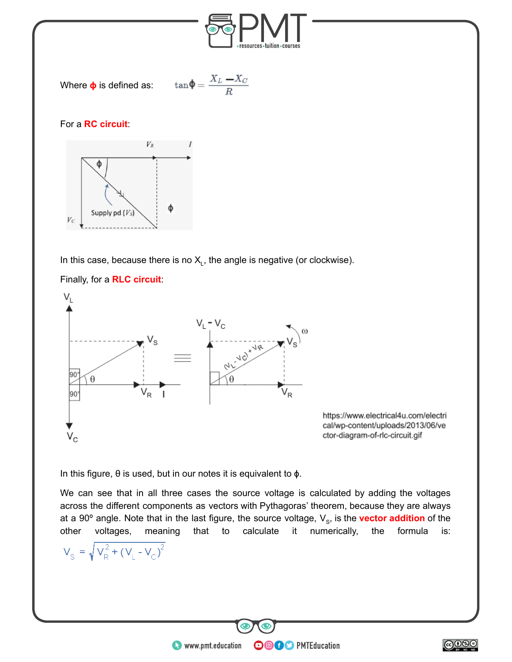

In this case, because there is no  $X_L$ , the angle is negative (or clockwise).

#### Finally, for a **RLC circuit** :

Supply pd  $(V_S)$ 

 $\mathcal{V}_C$ 



https://www.electrical4u.com/electri cal/wp-content/uploads/2013/06/ve ctor-diagram-of-rlc-circuit.gif

In this figure, θ is used, but in our notes it is equivalent to ɸ.

We can see that in all three cases the source voltage is calculated by adding the voltages across the different components as vectors with Pythagoras' theorem, because they are always at a 90° angle. Note that in the last figure, the source voltage, V<sub>s</sub>, is the **vector addition** of the other voltages, meaning that to calculate it numerically, the formula is:

**OOOO** PMTEducation

$$
V_{\rm S} = \sqrt{V_{\rm R}^2 + (V_{\rm L} - V_{\rm C})^2}
$$